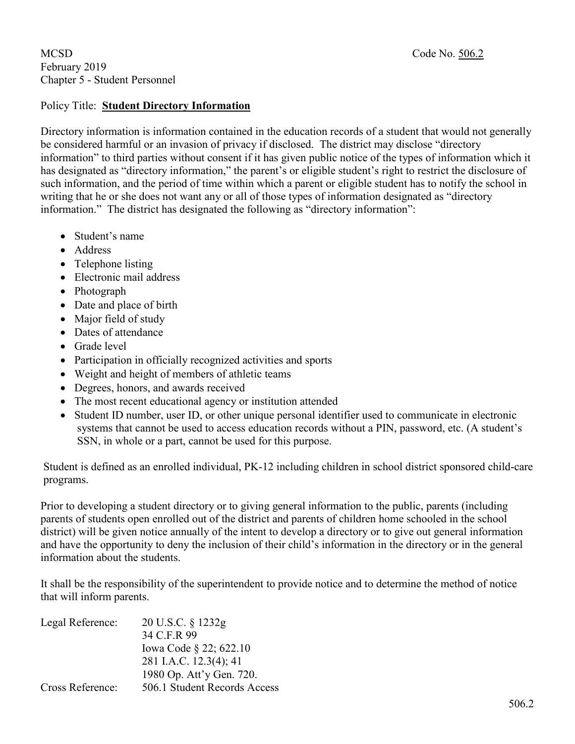## MCSD Code No. 506.2 February 2019 Chapter 5 - Student Personnel

## Policy Title: **Student Directory Information**

Directory information is information contained in the education records of a student that would not generally be considered harmful or an invasion of privacy if disclosed. The district may disclose "directory information" to third parties without consent if it has given public notice of the types of information which it has designated as "directory information," the parent's or eligible student's right to restrict the disclosure of such information, and the period of time within which a parent or eligible student has to notify the school in writing that he or she does not want any or all of those types of information designated as "directory information." The district has designated the following as "directory information":

- Student's name
- Address
- Telephone listing
- Electronic mail address
- Photograph
- Date and place of birth
- Major field of study
- Dates of attendance
- Grade level
- Participation in officially recognized activities and sports
- Weight and height of members of athletic teams
- Degrees, honors, and awards received
- The most recent educational agency or institution attended
- Student ID number, user ID, or other unique personal identifier used to communicate in electronic systems that cannot be used to access education records without a PIN, password, etc. (A student's SSN, in whole or a part, cannot be used for this purpose.

Student is defined as an enrolled individual, PK-12 including children in school district sponsored child-care programs.

Prior to developing a student directory or to giving general information to the public, parents (including parents of students open enrolled out of the district and parents of children home schooled in the school district) will be given notice annually of the intent to develop a directory or to give out general information and have the opportunity to deny the inclusion of their child's information in the directory or in the general information about the students.

It shall be the responsibility of the superintendent to provide notice and to determine the method of notice that will inform parents.

| Legal Reference:        | 20 U.S.C. § 1232g            |
|-------------------------|------------------------------|
|                         | 34 C.F.R 99                  |
|                         | Iowa Code § 22; 622.10       |
|                         | 281 I.A.C. 12.3(4); 41       |
|                         | 1980 Op. Att'y Gen. 720.     |
| <b>Cross Reference:</b> | 506.1 Student Records Access |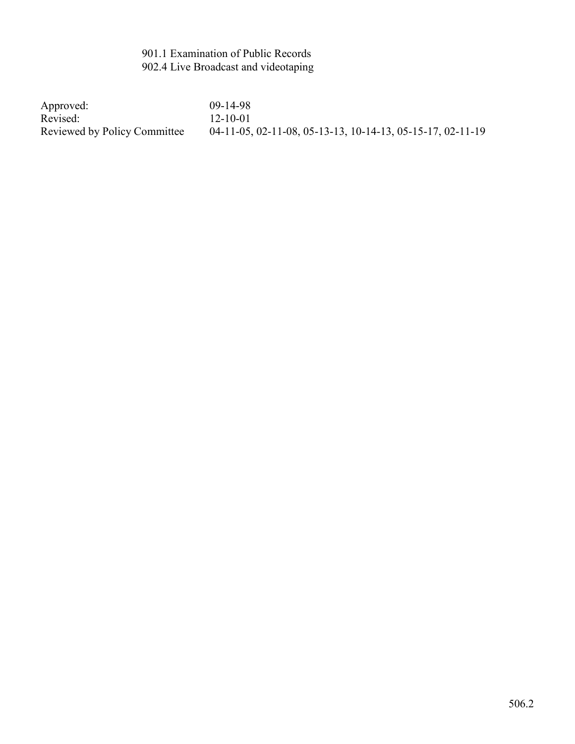# 901.1 Examination of Public Records 902.4 Live Broadcast and videotaping

Approved: 09-14-98<br>Revised: 12-10-01 Revised: 12-10-01<br>Reviewed by Policy Committee 04-11-05,

04-11-05, 02-11-08, 05-13-13, 10-14-13, 05-15-17, 02-11-19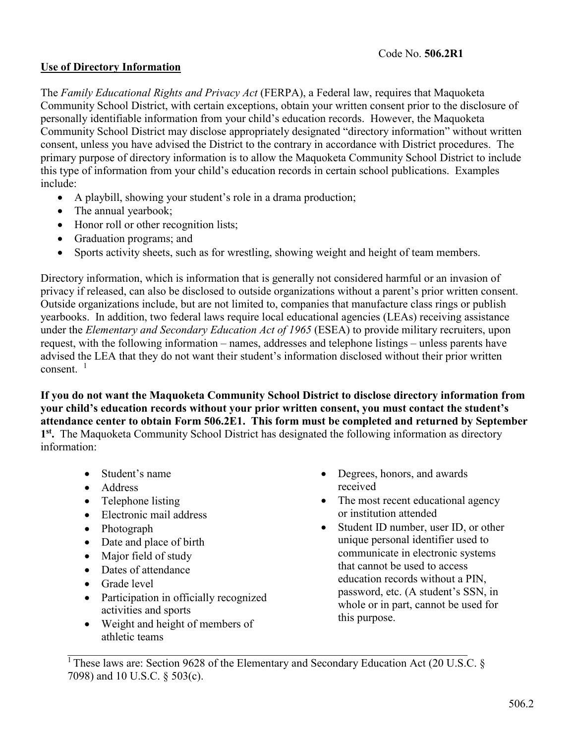# **Use of Directory Information**

The *Family Educational Rights and Privacy Act* (FERPA), a Federal law, requires that Maquoketa Community School District, with certain exceptions, obtain your written consent prior to the disclosure of personally identifiable information from your child's education records. However, the Maquoketa Community School District may disclose appropriately designated "directory information" without written consent, unless you have advised the District to the contrary in accordance with District procedures. The primary purpose of directory information is to allow the Maquoketa Community School District to include this type of information from your child's education records in certain school publications. Examples include:

- A playbill, showing your student's role in a drama production;
- The annual yearbook;
- Honor roll or other recognition lists;
- Graduation programs; and
- Sports activity sheets, such as for wrestling, showing weight and height of team members.

Directory information, which is information that is generally not considered harmful or an invasion of privacy if released, can also be disclosed to outside organizations without a parent's prior written consent. Outside organizations include, but are not limited to, companies that manufacture class rings or publish yearbooks. In addition, two federal laws require local educational agencies (LEAs) receiving assistance under the *Elementary and Secondary Education Act of 1965* (ESEA) to provide military recruiters, upon request, with the following information – names, addresses and telephone listings – unless parents have advised the LEA that they do not want their student's information disclosed without their prior written consent.  $1$ 

**If you do not want the Maquoketa Community School District to disclose directory information from your child's education records without your prior written consent, you must contact the student's attendance center to obtain Form 506.2E1. This form must be completed and returned by September 1st.** The Maquoketa Community School District has designated the following information as directory information:

- Student's name
- Address
- Telephone listing
- Electronic mail address
- Photograph
- Date and place of birth
- Major field of study
- Dates of attendance
- Grade level
- Participation in officially recognized activities and sports
- Weight and height of members of athletic teams
- Degrees, honors, and awards received
- The most recent educational agency or institution attended
- Student ID number, user ID, or other unique personal identifier used to communicate in electronic systems that cannot be used to access education records without a PIN, password, etc. (A student's SSN, in whole or in part, cannot be used for this purpose.

<sup>1</sup> These laws are: Section 9628 of the Elementary and Secondary Education Act (20 U.S.C. § 7098) and 10 U.S.C. § 503(c).